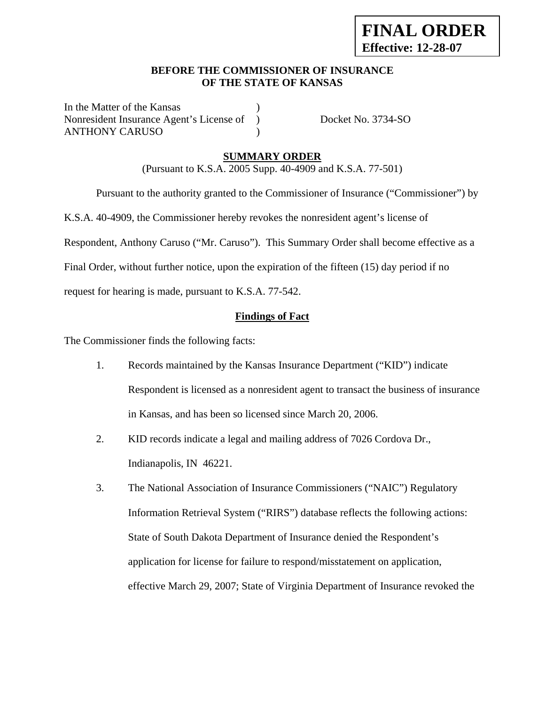## **BEFORE THE COMMISSIONER OF INSURANCE OF THE STATE OF KANSAS**

In the Matter of the Kansas Nonresident Insurance Agent's License of ) Docket No. 3734-SO ANTHONY CARUSO (1)

## **SUMMARY ORDER**

(Pursuant to K.S.A. 2005 Supp. 40-4909 and K.S.A. 77-501)

Pursuant to the authority granted to the Commissioner of Insurance ("Commissioner") by

K.S.A. 40-4909, the Commissioner hereby revokes the nonresident agent's license of

Respondent, Anthony Caruso ("Mr. Caruso"). This Summary Order shall become effective as a

Final Order, without further notice, upon the expiration of the fifteen (15) day period if no

request for hearing is made, pursuant to K.S.A. 77-542.

### **Findings of Fact**

The Commissioner finds the following facts:

- 1. Records maintained by the Kansas Insurance Department ("KID") indicate Respondent is licensed as a nonresident agent to transact the business of insurance in Kansas, and has been so licensed since March 20, 2006.
- 2. KID records indicate a legal and mailing address of 7026 Cordova Dr., Indianapolis, IN 46221.
- 3. The National Association of Insurance Commissioners ("NAIC") Regulatory Information Retrieval System ("RIRS") database reflects the following actions: State of South Dakota Department of Insurance denied the Respondent's application for license for failure to respond/misstatement on application, effective March 29, 2007; State of Virginia Department of Insurance revoked the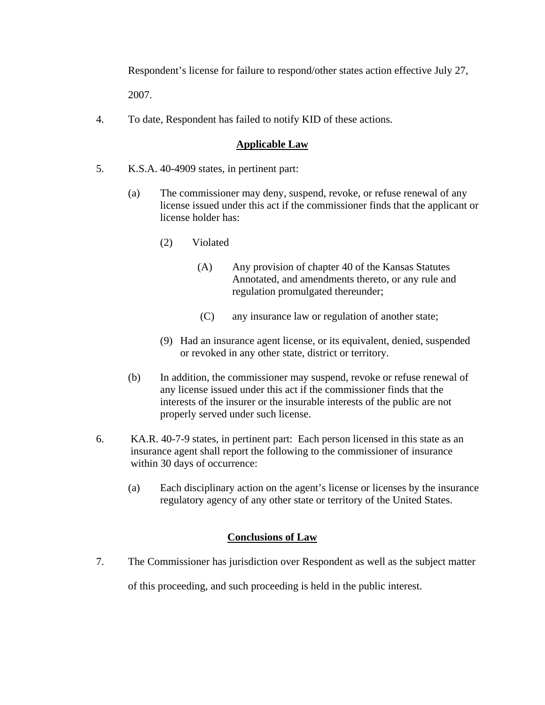Respondent's license for failure to respond/other states action effective July 27,

2007.

4. To date, Respondent has failed to notify KID of these actions.

## **Applicable Law**

- 5. K.S.A. 40-4909 states, in pertinent part:
	- (a) The commissioner may deny, suspend, revoke, or refuse renewal of any license issued under this act if the commissioner finds that the applicant or license holder has:
		- (2) Violated
			- (A) Any provision of chapter 40 of the Kansas Statutes Annotated, and amendments thereto, or any rule and regulation promulgated thereunder;
			- (C) any insurance law or regulation of another state;
		- (9) Had an insurance agent license, or its equivalent, denied, suspended or revoked in any other state, district or territory.
	- (b) In addition, the commissioner may suspend, revoke or refuse renewal of any license issued under this act if the commissioner finds that the interests of the insurer or the insurable interests of the public are not properly served under such license.
- 6. KA.R. 40-7-9 states, in pertinent part: Each person licensed in this state as an insurance agent shall report the following to the commissioner of insurance within 30 days of occurrence:
	- (a) Each disciplinary action on the agent's license or licenses by the insurance regulatory agency of any other state or territory of the United States.

## **Conclusions of Law**

7. The Commissioner has jurisdiction over Respondent as well as the subject matter

of this proceeding, and such proceeding is held in the public interest.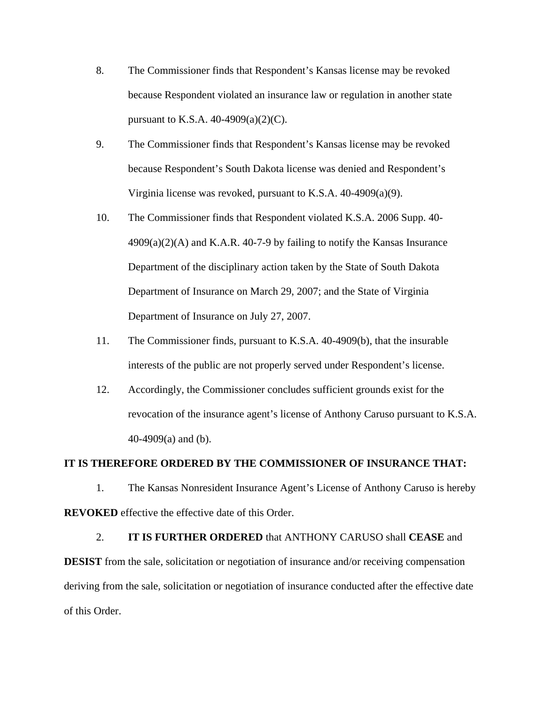- 8. The Commissioner finds that Respondent's Kansas license may be revoked because Respondent violated an insurance law or regulation in another state pursuant to K.S.A.  $40-4909(a)(2)(C)$ .
- 9. The Commissioner finds that Respondent's Kansas license may be revoked because Respondent's South Dakota license was denied and Respondent's Virginia license was revoked, pursuant to K.S.A. 40-4909(a)(9).
- 10. The Commissioner finds that Respondent violated K.S.A. 2006 Supp. 40-  $4909(a)(2)(A)$  and K.A.R. 40-7-9 by failing to notify the Kansas Insurance Department of the disciplinary action taken by the State of South Dakota Department of Insurance on March 29, 2007; and the State of Virginia Department of Insurance on July 27, 2007.
- 11. The Commissioner finds, pursuant to K.S.A. 40-4909(b), that the insurable interests of the public are not properly served under Respondent's license.
- 12. Accordingly, the Commissioner concludes sufficient grounds exist for the revocation of the insurance agent's license of Anthony Caruso pursuant to K.S.A. 40-4909(a) and (b).

#### **IT IS THEREFORE ORDERED BY THE COMMISSIONER OF INSURANCE THAT:**

1. The Kansas Nonresident Insurance Agent's License of Anthony Caruso is hereby **REVOKED** effective the effective date of this Order.

2. **IT IS FURTHER ORDERED** that ANTHONY CARUSO shall **CEASE** and **DESIST** from the sale, solicitation or negotiation of insurance and/or receiving compensation deriving from the sale, solicitation or negotiation of insurance conducted after the effective date of this Order.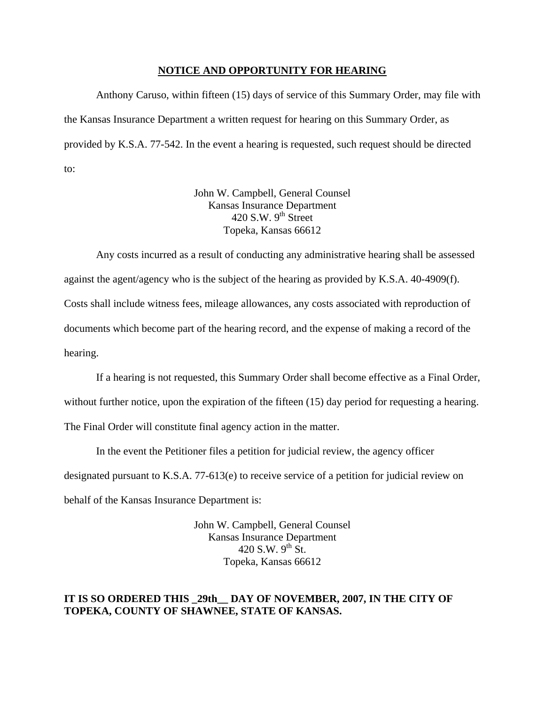#### **NOTICE AND OPPORTUNITY FOR HEARING**

Anthony Caruso, within fifteen (15) days of service of this Summary Order, may file with the Kansas Insurance Department a written request for hearing on this Summary Order, as provided by K.S.A. 77-542. In the event a hearing is requested, such request should be directed to:

> John W. Campbell, General Counsel Kansas Insurance Department 420 S.W.  $9<sup>th</sup>$  Street Topeka, Kansas 66612

Any costs incurred as a result of conducting any administrative hearing shall be assessed against the agent/agency who is the subject of the hearing as provided by K.S.A. 40-4909(f). Costs shall include witness fees, mileage allowances, any costs associated with reproduction of documents which become part of the hearing record, and the expense of making a record of the hearing.

If a hearing is not requested, this Summary Order shall become effective as a Final Order, without further notice, upon the expiration of the fifteen (15) day period for requesting a hearing. The Final Order will constitute final agency action in the matter.

In the event the Petitioner files a petition for judicial review, the agency officer designated pursuant to K.S.A. 77-613(e) to receive service of a petition for judicial review on behalf of the Kansas Insurance Department is:

> John W. Campbell, General Counsel Kansas Insurance Department 420 S.W.  $9^{th}$  St. Topeka, Kansas 66612

### **IT IS SO ORDERED THIS \_29th\_\_ DAY OF NOVEMBER, 2007, IN THE CITY OF TOPEKA, COUNTY OF SHAWNEE, STATE OF KANSAS.**